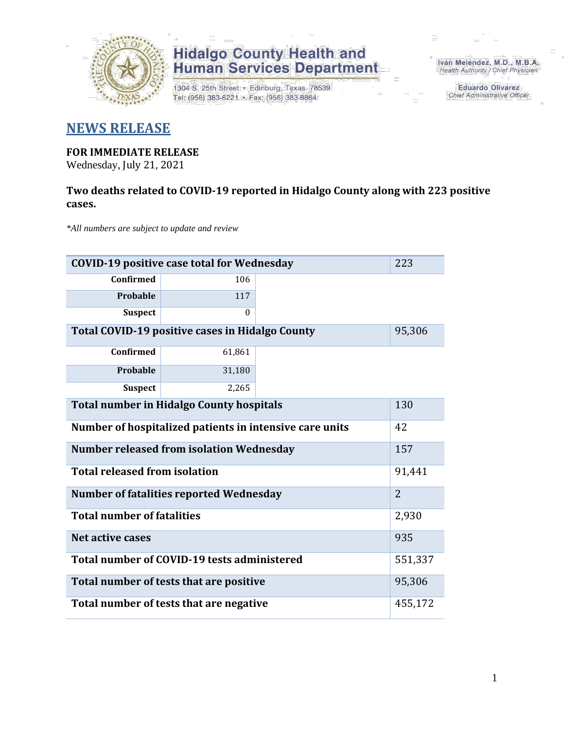

1304 S. 25th Street · Edinburg, Texas 78539 Tel: (956) 383-6221 · Fax: (956) 383-8864

Iván Meléndez, M.D., M.B.A. Health Authority / Chief Physician

> **Eduardo Olivarez** Chief Administrative Officer

### **NEWS RELEASE**

### **FOR IMMEDIATE RELEASE**

Wednesday, July 21, 2021

### **Two deaths related to COVID-19 reported in Hidalgo County along with 223 positive cases.**

*\*All numbers are subject to update and review*

| <b>COVID-19 positive case total for Wednesday</b><br>223      |          |  |  |  |  |  |
|---------------------------------------------------------------|----------|--|--|--|--|--|
| <b>Confirmed</b>                                              | 106      |  |  |  |  |  |
| Probable                                                      | 117      |  |  |  |  |  |
| <b>Suspect</b>                                                | $\theta$ |  |  |  |  |  |
| <b>Total COVID-19 positive cases in Hidalgo County</b>        |          |  |  |  |  |  |
| Confirmed                                                     | 61,861   |  |  |  |  |  |
| Probable                                                      | 31,180   |  |  |  |  |  |
| <b>Suspect</b>                                                | 2,265    |  |  |  |  |  |
| <b>Total number in Hidalgo County hospitals</b>               |          |  |  |  |  |  |
| Number of hospitalized patients in intensive care units<br>42 |          |  |  |  |  |  |
| <b>Number released from isolation Wednesday</b><br>157        |          |  |  |  |  |  |
| <b>Total released from isolation</b>                          |          |  |  |  |  |  |
| Number of fatalities reported Wednesday                       |          |  |  |  |  |  |
| <b>Total number of fatalities</b>                             | 2,930    |  |  |  |  |  |
| Net active cases                                              | 935      |  |  |  |  |  |
| Total number of COVID-19 tests administered                   | 551,337  |  |  |  |  |  |
| Total number of tests that are positive                       | 95,306   |  |  |  |  |  |
| Total number of tests that are negative                       | 455,172  |  |  |  |  |  |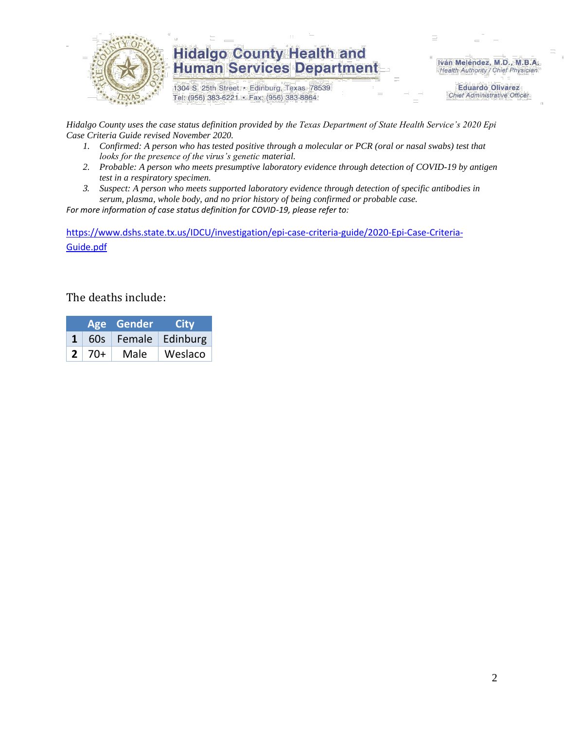

1304 S. 25th Street · Edinburg, Texas 78539 Tel: (956) 383-6221 · Fax: (956) 383-8864

Iván Meléndez, M.D., M.B.A. Health Authority / Chief Physician

> **Eduardo Olivarez Chief Administrative Officer**

*Hidalgo County uses the case status definition provided by the Texas Department of State Health Service's 2020 Epi Case Criteria Guide revised November 2020.*

- *1. Confirmed: A person who has tested positive through a molecular or PCR (oral or nasal swabs) test that looks for the presence of the virus's genetic material.*
- *2. Probable: A person who meets presumptive laboratory evidence through detection of COVID-19 by antigen test in a respiratory specimen.*
- *3. Suspect: A person who meets supported laboratory evidence through detection of specific antibodies in serum, plasma, whole body, and no prior history of being confirmed or probable case.*

*For more information of case status definition for COVID-19, please refer to:*

[https://www.dshs.state.tx.us/IDCU/investigation/epi-case-criteria-guide/2020-Epi-Case-Criteria-](https://www.dshs.state.tx.us/IDCU/investigation/epi-case-criteria-guide/2020-Epi-Case-Criteria-Guide.pdf)[Guide.pdf](https://www.dshs.state.tx.us/IDCU/investigation/epi-case-criteria-guide/2020-Epi-Case-Criteria-Guide.pdf)

#### The deaths include:

|              |      | Age Gender | City                    |
|--------------|------|------------|-------------------------|
|              |      |            | 60s   Female   Edinburg |
| $\mathbf{2}$ | -70+ | Male       | Weslaco                 |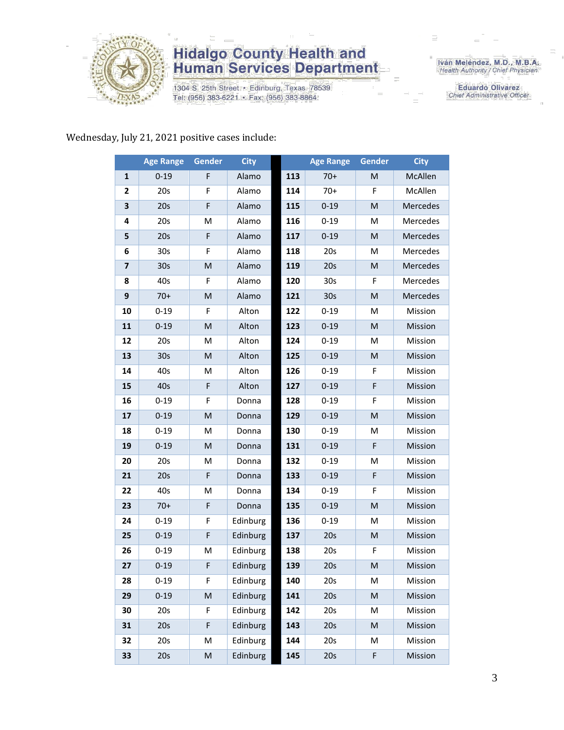

1304 S. 25th Street · Edinburg, Texas 78539 Tel: (956) 383-6221 · Fax: (956) 383-8864

Iván Meléndez, M.D., M.B.A.<br>Health Authority / Chief Physician

**Eduardo Olivarez** Chief Administrative Officer

#### Wednesday, July 21, 2021 positive cases include:

|                         | <b>Age Range</b> | Gender      | <b>City</b> |     | <b>Age Range</b> | <b>Gender</b> | <b>City</b> |
|-------------------------|------------------|-------------|-------------|-----|------------------|---------------|-------------|
| 1                       | $0 - 19$         | F           | Alamo       | 113 | $70+$            | M             | McAllen     |
| 2                       | 20s              | F           | Alamo       | 114 | $70+$            | F             | McAllen     |
| 3                       | 20s              | F           | Alamo       | 115 | $0 - 19$         | M             | Mercedes    |
| 4                       | 20s              | M           | Alamo       | 116 | $0 - 19$         | M             | Mercedes    |
| 5                       | 20s              | $\mathsf F$ | Alamo       | 117 | $0 - 19$         | M             | Mercedes    |
| 6                       | 30 <sub>s</sub>  | F           | Alamo       | 118 | 20s              | M             | Mercedes    |
| $\overline{\mathbf{z}}$ | 30 <sub>s</sub>  | M           | Alamo       | 119 | 20s              | M             | Mercedes    |
| 8                       | 40s              | F           | Alamo       | 120 | 30 <sub>s</sub>  | F             | Mercedes    |
| 9                       | $70+$            | M           | Alamo       | 121 | 30 <sub>s</sub>  | M             | Mercedes    |
| 10                      | $0 - 19$         | F           | Alton       | 122 | $0 - 19$         | M             | Mission     |
| 11                      | $0 - 19$         | ${\sf M}$   | Alton       | 123 | $0 - 19$         | ${\sf M}$     | Mission     |
| 12                      | 20s              | M           | Alton       | 124 | $0 - 19$         | M             | Mission     |
| 13                      | 30 <sub>s</sub>  | M           | Alton       | 125 | $0 - 19$         | M             | Mission     |
| 14                      | 40s              | M           | Alton       | 126 | $0 - 19$         | F             | Mission     |
| 15                      | 40s              | F           | Alton       | 127 | $0 - 19$         | F             | Mission     |
| 16                      | $0 - 19$         | F           | Donna       | 128 | $0 - 19$         | F             | Mission     |
| 17                      | $0 - 19$         | M           | Donna       | 129 | $0 - 19$         | M             | Mission     |
| 18                      | $0 - 19$         | M           | Donna       | 130 | $0 - 19$         | M             | Mission     |
| 19                      | $0 - 19$         | M           | Donna       | 131 | $0 - 19$         | F             | Mission     |
| 20                      | 20s              | M           | Donna       | 132 | $0 - 19$         | M             | Mission     |
| 21                      | 20s              | $\mathsf F$ | Donna       | 133 | $0 - 19$         | F             | Mission     |
| 22                      | 40s              | M           | Donna       | 134 | $0 - 19$         | F             | Mission     |
| 23                      | $70+$            | F           | Donna       | 135 | $0 - 19$         | M             | Mission     |
| 24                      | $0 - 19$         | F           | Edinburg    | 136 | $0 - 19$         | M             | Mission     |
| 25                      | $0 - 19$         | F           | Edinburg    | 137 | 20s              | ${\sf M}$     | Mission     |
| 26                      | $0 - 19$         | M           | Edinburg    | 138 | 20s              | F             | Mission     |
| 27                      | $0 - 19$         | F           | Edinburg    | 139 | 20s              | M             | Mission     |
| 28                      | $0 - 19$         | F           | Edinburg    | 140 | 20s              | М             | Mission     |
| 29                      | $0 - 19$         | M           | Edinburg    | 141 | 20s              | M             | Mission     |
| 30                      | 20s              | F           | Edinburg    | 142 | 20s              | M             | Mission     |
| 31                      | 20s              | F           | Edinburg    | 143 | 20s              | M             | Mission     |
| 32                      | 20s              | M           | Edinburg    | 144 | 20s              | M             | Mission     |
| 33                      | 20s              | M           | Edinburg    | 145 | 20s              | F             | Mission     |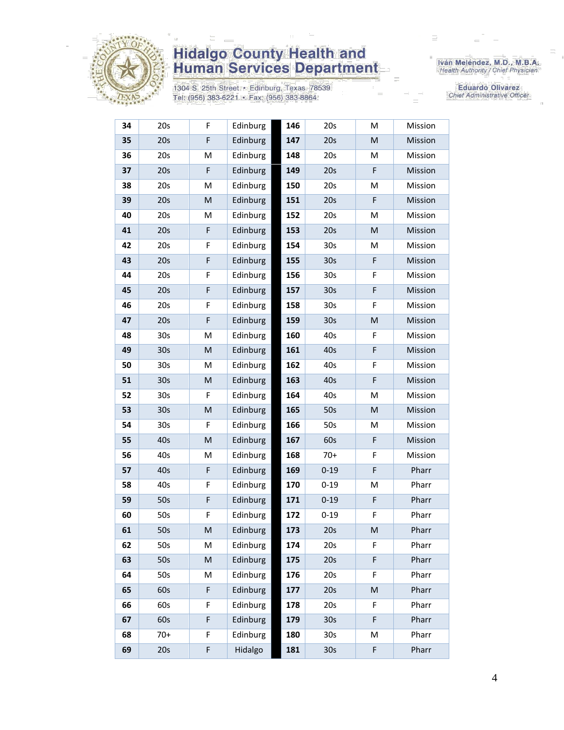

1304 S. 25th Street · Edinburg, Texas 78539 Tel: (956) 383-6221 · Fax: (956) 383-8864

Iván Meléndez, M.D., M.B.A.<br>Health Authority / Chief Physician

Eduardo Olivarez Chief Administrative Officer

| 34 | 20s             | F.          | Edinburg | 146 | 20s             | M | Mission |
|----|-----------------|-------------|----------|-----|-----------------|---|---------|
| 35 | 20s             | F           | Edinburg | 147 | 20s             | M | Mission |
| 36 | 20s             | M           | Edinburg | 148 | 20s             | M | Mission |
| 37 | 20s             | $\mathsf F$ | Edinburg | 149 | 20s             | F | Mission |
| 38 | 20s             | M           | Edinburg | 150 | 20s             | M | Mission |
| 39 | 20s             | M           | Edinburg | 151 | 20s             | F | Mission |
| 40 | 20s             | M           | Edinburg | 152 | 20s             | M | Mission |
| 41 | 20s             | F           | Edinburg | 153 | 20s             | M | Mission |
| 42 | 20s             | F           | Edinburg | 154 | 30 <sub>s</sub> | M | Mission |
| 43 | 20s             | F           | Edinburg | 155 | 30 <sub>s</sub> | F | Mission |
| 44 | 20s             | F           | Edinburg | 156 | 30 <sub>s</sub> | F | Mission |
| 45 | 20s             | F           | Edinburg | 157 | 30 <sub>s</sub> | F | Mission |
| 46 | 20s             | F           | Edinburg | 158 | 30s             | F | Mission |
| 47 | 20s             | F           | Edinburg | 159 | 30 <sub>s</sub> | M | Mission |
| 48 | 30 <sub>s</sub> | M           | Edinburg | 160 | 40s             | F | Mission |
| 49 | 30 <sub>s</sub> | ${\sf M}$   | Edinburg | 161 | 40s             | F | Mission |
| 50 | 30 <sub>s</sub> | M           | Edinburg | 162 | 40s             | F | Mission |
| 51 | 30 <sub>s</sub> | ${\sf M}$   | Edinburg | 163 | 40s             | F | Mission |
| 52 | 30 <sub>s</sub> | F           | Edinburg | 164 | 40s             | M | Mission |
| 53 | 30 <sub>s</sub> | M           | Edinburg | 165 | 50s             | M | Mission |
| 54 | 30 <sub>s</sub> | F           | Edinburg | 166 | 50s             | M | Mission |
| 55 | 40s             | ${\sf M}$   | Edinburg | 167 | 60s             | F | Mission |
| 56 | 40s             | M           | Edinburg | 168 | $70+$           | F | Mission |
| 57 | 40s             | F           | Edinburg | 169 | $0 - 19$        | F | Pharr   |
| 58 | 40s             | F           | Edinburg | 170 | $0 - 19$        | Μ | Pharr   |
| 59 | 50s             | $\mathsf F$ | Edinburg | 171 | $0 - 19$        | F | Pharr   |
| 60 | 50s             | F           | Edinburg | 172 | $0 - 19$        | F | Pharr   |
| 61 | 50s             | ${\sf M}$   | Edinburg | 173 | 20s             | M | Pharr   |
| 62 | 50s             | M           | Edinburg | 174 | 20s             | F | Pharr   |
| 63 | 50s             | ${\sf M}$   | Edinburg | 175 | 20s             | F | Pharr   |
| 64 | 50s             | M           | Edinburg | 176 | 20s             | F | Pharr   |
| 65 | 60s             | F           | Edinburg | 177 | 20s             | M | Pharr   |
| 66 | 60s             | F           | Edinburg | 178 | 20s             | F | Pharr   |
| 67 | 60s             | F           | Edinburg | 179 | 30 <sub>s</sub> | F | Pharr   |
| 68 | $70+$           | F           | Edinburg | 180 | 30 <sub>s</sub> | Μ | Pharr   |
| 69 | 20s             | F           | Hidalgo  | 181 | 30 <sub>s</sub> | F | Pharr   |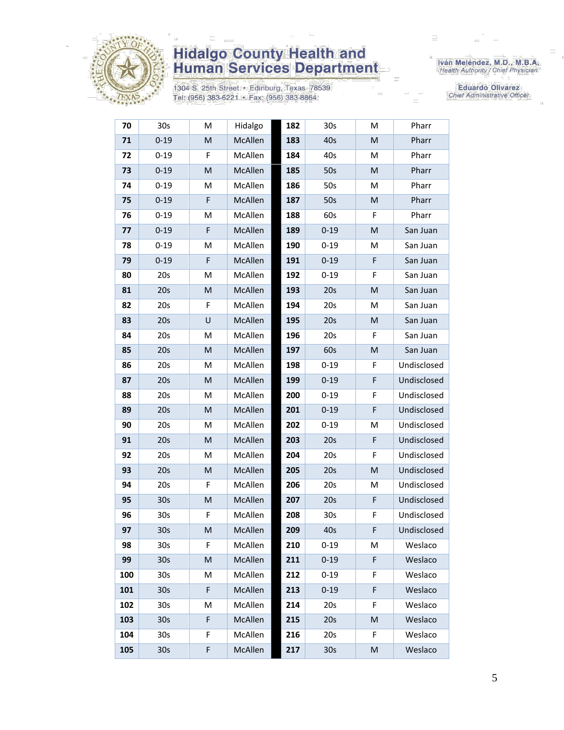

1304 S. 25th Street · Edinburg, Texas 78539 Tel: (956) 383-6221 · Fax: (956) 383-8864

Iván Meléndez, M.D., M.B.A.<br>Health Authority / Chief Physician

**Eduardo Olivarez** Chief Administrative Officer

| 70  | 30s             | М           | Hidalgo | 182 | 30s             | М | Pharr       |
|-----|-----------------|-------------|---------|-----|-----------------|---|-------------|
| 71  | $0 - 19$        | M           | McAllen | 183 | 40s             | M | Pharr       |
| 72  | $0 - 19$        | F           | McAllen | 184 | 40s             | M | Pharr       |
| 73  | $0 - 19$        | M           | McAllen | 185 | 50s             | M | Pharr       |
| 74  | $0 - 19$        | м           | McAllen | 186 | 50s             | M | Pharr       |
| 75  | $0 - 19$        | $\mathsf F$ | McAllen | 187 | 50s             | M | Pharr       |
| 76  | $0 - 19$        | M           | McAllen | 188 | 60s             | F | Pharr       |
| 77  | $0 - 19$        | F           | McAllen | 189 | $0 - 19$        | M | San Juan    |
| 78  | $0 - 19$        | M           | McAllen | 190 | $0 - 19$        | M | San Juan    |
| 79  | $0 - 19$        | $\mathsf F$ | McAllen | 191 | $0 - 19$        | F | San Juan    |
| 80  | 20s             | M           | McAllen | 192 | $0 - 19$        | F | San Juan    |
| 81  | 20s             | M           | McAllen | 193 | 20s             | M | San Juan    |
| 82  | 20s             | F           | McAllen | 194 | 20s             | M | San Juan    |
| 83  | 20s             | U           | McAllen | 195 | 20s             | M | San Juan    |
| 84  | 20s             | M           | McAllen | 196 | 20s             | F | San Juan    |
| 85  | 20s             | M           | McAllen | 197 | 60s             | M | San Juan    |
| 86  | 20s             | M           | McAllen | 198 | $0 - 19$        | F | Undisclosed |
| 87  | 20s             | M           | McAllen | 199 | $0 - 19$        | F | Undisclosed |
| 88  | 20s             | М           | McAllen | 200 | $0 - 19$        | F | Undisclosed |
| 89  | 20s             | M           | McAllen | 201 | $0 - 19$        | F | Undisclosed |
| 90  | 20s             | M           | McAllen | 202 | $0 - 19$        | M | Undisclosed |
| 91  | 20s             | M           | McAllen | 203 | 20s             | F | Undisclosed |
| 92  | 20s             | М           | McAllen | 204 | 20s             | F | Undisclosed |
| 93  | 20s             | M           | McAllen | 205 | 20s             | M | Undisclosed |
| 94  | 20s             | F           | McAllen | 206 | 20s             | M | Undisclosed |
| 95  | 30 <sub>s</sub> | M           | McAllen | 207 | 20s             | F | Undisclosed |
| 96  | 30 <sub>s</sub> | F           | McAllen | 208 | 30 <sub>s</sub> | F | Undisclosed |
| 97  | 30 <sub>s</sub> | M           | McAllen | 209 | 40s             | F | Undisclosed |
| 98  | 30 <sub>s</sub> | F.          | McAllen | 210 | $0 - 19$        | M | Weslaco     |
| 99  | 30 <sub>s</sub> | M           | McAllen | 211 | $0 - 19$        | F | Weslaco     |
| 100 | 30s             | M           | McAllen | 212 | $0 - 19$        | F | Weslaco     |
| 101 | 30 <sub>s</sub> | F           | McAllen | 213 | $0 - 19$        | F | Weslaco     |
| 102 | 30s             | M           | McAllen | 214 | 20s             | F | Weslaco     |
| 103 | 30 <sub>s</sub> | $\mathsf F$ | McAllen | 215 | 20s             | M | Weslaco     |
| 104 | 30s             | F           | McAllen | 216 | 20s             | F | Weslaco     |
| 105 | 30 <sub>s</sub> | F           | McAllen | 217 | 30 <sub>s</sub> | M | Weslaco     |